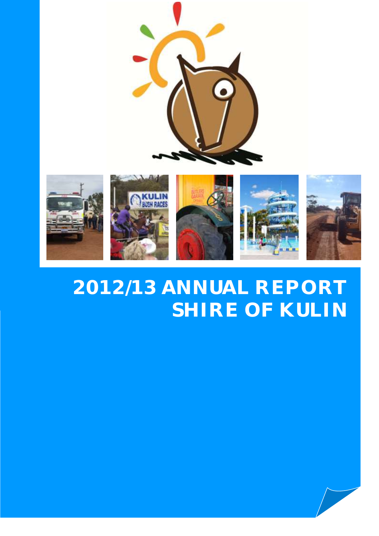



# **2012/13 ANNUAL REPORT SHIRE OF KULIN**

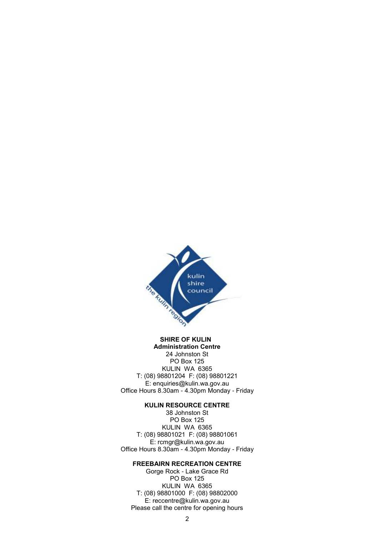

#### **SHIRE OF KULIN Administration Centre**

24 Johnston St PO Box 125 KULIN WA 6365 T: (08) 98801204 F: (08) 98801221 E: enquiries@kulin.wa.gov.au Office Hours 8.30am - 4.30pm Monday - Friday

#### **KULIN RESOURCE CENTRE**

38 Johnston St PO Box 125 KULIN WA 6365 T: (08) 98801021 F: (08) 98801061 E: rcmgr@kulin.wa.gov.au Office Hours 8.30am - 4.30pm Monday - Friday

#### **FREEBAIRN RECREATION CENTRE**

Gorge Rock - Lake Grace Rd PO Box 125 KULIN WA 6365 T: (08) 98801000 F: (08) 98802000 E: reccentre@kulin.wa.gov.au Please call the centre for opening hours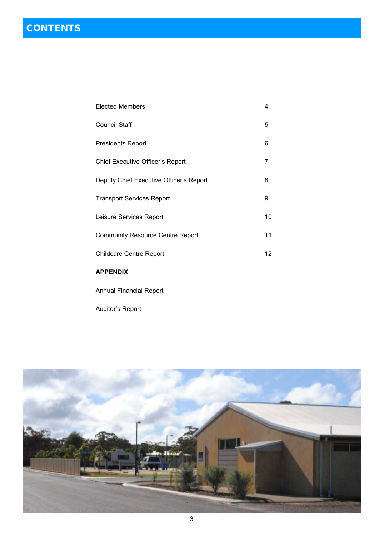| <b>Elected Members</b>                  | 4  |
|-----------------------------------------|----|
| <b>Council Staff</b>                    | 5  |
| <b>Presidents Report</b>                | 6  |
| Chief Executive Officer's Report        | 7  |
| Deputy Chief Executive Officer's Report | 8  |
| <b>Transport Services Report</b>        | 9  |
| Leisure Services Report                 | 10 |
| <b>Community Resource Centre Report</b> | 11 |
| <b>Childcare Centre Report</b>          | 12 |
|                                         |    |

## **APPENDIX**

Annual Financial Report

Auditor's Report

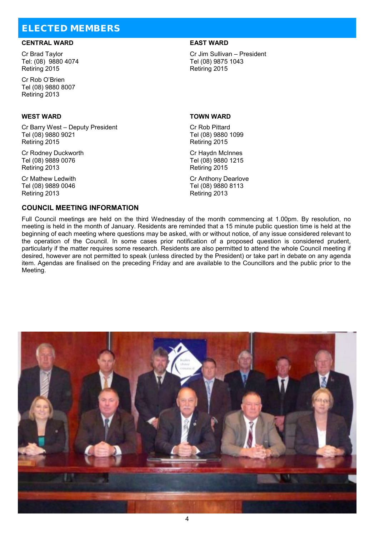# ELECTED MEMBERS

#### **CENTRAL WARD EAST WARD**

Cr Brad Taylor Tel: (08) 9880 4074 Retiring 2015

Cr Rob O'Brien Tel (08) 9880 8007 Retiring 2013

#### **WEST WARD TOWN WARD**

Cr Barry West – Deputy President Tel (08) 9880 9021 Retiring 2015

Cr Rodney Duckworth Tel (08) 9889 0076 Retiring 2013

Cr Mathew Ledwith Tel (08) 9889 0046 Retiring 2013

#### **COUNCIL MEETING INFORMATION**

Cr Jim Sullivan – President Tel (08) 9875 1043 Retiring 2015

Cr Rob Pittard Tel (08) 9880 1099 Retiring 2015

Cr Haydn McInnes Tel (08) 9880 1215 Retiring 2015

Cr Anthony Dearlove Tel (08) 9880 8113 Retiring 2013

Full Council meetings are held on the third Wednesday of the month commencing at 1.00pm. By resolution, no meeting is held in the month of January. Residents are reminded that a 15 minute public question time is held at the beginning of each meeting where questions may be asked, with or without notice, of any issue considered relevant to the operation of the Council. In some cases prior notification of a proposed question is considered prudent, particularly if the matter requires some research. Residents are also permitted to attend the whole Council meeting if desired, however are not permitted to speak (unless directed by the President) or take part in debate on any agenda item. Agendas are finalised on the preceding Friday and are available to the Councillors and the public prior to the Meeting.

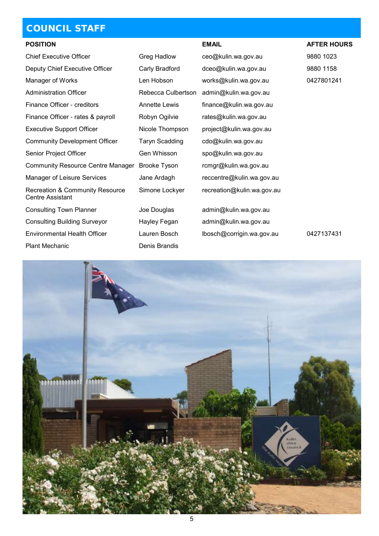# COUNCIL STAFF

| <b>POSITION</b>                                                       |                       | <b>EMAIL</b>               | <b>AFTER HOURS</b> |
|-----------------------------------------------------------------------|-----------------------|----------------------------|--------------------|
| <b>Chief Executive Officer</b>                                        | Greg Hadlow           | ceo@kulin.wa.gov.au        | 9880 1023          |
| Deputy Chief Executive Officer                                        | Carly Bradford        | dceo@kulin.wa.gov.au       | 9880 1158          |
| Manager of Works                                                      | Len Hobson            | works@kulin.wa.gov.au      | 0427801241         |
| <b>Administration Officer</b>                                         | Rebecca Culbertson    | admin@kulin.wa.gov.au      |                    |
| Finance Officer - creditors                                           | <b>Annette Lewis</b>  | finance@kulin.wa.gov.au    |                    |
| Finance Officer - rates & payroll                                     | Robyn Ogilvie         | rates@kulin.wa.gov.au      |                    |
| <b>Executive Support Officer</b>                                      | Nicole Thompson       | project@kulin.wa.gov.au    |                    |
| <b>Community Development Officer</b>                                  | <b>Taryn Scadding</b> | cdo@kulin.wa.gov.au        |                    |
| Senior Project Officer                                                | Gen Whisson           | spo@kulin.wa.gov.au        |                    |
| <b>Community Resource Centre Manager</b>                              | Brooke Tyson          | rcmgr@kulin.wa.gov.au      |                    |
| <b>Manager of Leisure Services</b>                                    | Jane Ardagh           | reccentre@kulin.wa.gov.au  |                    |
| <b>Recreation &amp; Community Resource</b><br><b>Centre Assistant</b> | Simone Lockyer        | recreation@kulin.wa.gov.au |                    |
| <b>Consulting Town Planner</b>                                        | Joe Douglas           | admin@kulin.wa.gov.au      |                    |
| <b>Consulting Building Surveyor</b>                                   | Hayley Fegan          | admin@kulin.wa.gov.au      |                    |
| <b>Environmental Health Officer</b>                                   | Lauren Bosch          | lbosch@corrigin.wa.gov.au  | 0427137431         |
| <b>Plant Mechanic</b>                                                 | Denis Brandis         |                            |                    |

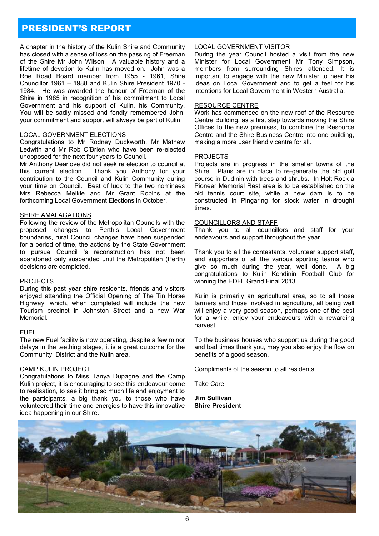## PRESIDENT'S REPORT

A chapter in the history of the Kulin Shire and Community has closed with a sense of loss on the passing of Freeman of the Shire Mr John Wilson. A valuable history and a lifetime of devotion to Kulin has moved on. John was a Roe Road Board member from 1955 - 1961, Shire Councillor 1961 – 1988 and Kulin Shire President 1970 - 1984. He was awarded the honour of Freeman of the Shire in 1985 in recognition of his commitment to Local Government and his support of Kulin, his Community. You will be sadly missed and fondly remembered John, your commitment and support will always be part of Kulin.

#### LOCAL GOVERNMENT ELECTIONS

Congratulations to Mr Rodney Duckworth, Mr Mathew Ledwith and Mr Rob O'Brien who have been re-elected unopposed for the next four years to Council.

Mr Anthony Dearlove did not seek re election to council at this current election. Thank you Anthony for your contribution to the Council and Kulin Community during your time on Council. Best of luck to the two nominees Mrs Rebecca Meikle and Mr Grant Robins at the forthcoming Local Government Elections in October.

#### SHIRE AMALAGATIONS

Following the review of the Metropolitan Councils with the proposed changes to Perth's Local Government boundaries, rural Council changes have been suspended for a period of time, the actions by the State Government to pursue Council 's reconstruction has not been abandoned only suspended until the Metropolitan (Perth) decisions are completed.

#### **PROJECTS**

During this past year shire residents, friends and visitors enjoyed attending the Official Opening of The Tin Horse Highway, which, when completed will include the new Tourism precinct in Johnston Street and a new War Memorial.

#### FUEL

The new Fuel facility is now operating, despite a few minor delays in the teething stages, it is a great outcome for the Community, District and the Kulin area.

#### CAMP KULIN PROJECT

Congratulations to Miss Tanya Dupagne and the Camp Kulin project, it is encouraging to see this endeavour come to realisation, to see it bring so much life and enjoyment to the participants, a big thank you to those who have volunteered their time and energies to have this innovative idea happening in our Shire.

#### LOCAL GOVERNMENT VISITOR

During the year Council hosted a visit from the new Minister for Local Government Mr Tony Simpson, members from surrounding Shires attended. It is important to engage with the new Minister to hear his ideas on Local Government and to get a feel for his intentions for Local Government in Western Australia.

#### RESOURCE CENTRE

Work has commenced on the new roof of the Resource Centre Building, as a first step towards moving the Shire Offices to the new premises, to combine the Resource Centre and the Shire Business Centre into one building, making a more user friendly centre for all.

#### PROJECTS

Projects are in progress in the smaller towns of the Shire. Plans are in place to re-generate the old golf course in Dudinin with trees and shrubs. In Holt Rock a Pioneer Memorial Rest area is to be established on the old tennis court site, while a new dam is to be constructed in Pingaring for stock water in drought times.

#### COUNCILLORS AND STAFF

Thank you to all councillors and staff for your endeavours and support throughout the year.

Thank you to all the contestants, volunteer support staff, and supporters of all the various sporting teams who give so much during the year, well done. A big congratulations to Kulin Kondinin Football Club for winning the EDFL Grand Final 2013.

Kulin is primarily an agricultural area, so to all those farmers and those involved in agriculture, all being well will enjoy a very good season, perhaps one of the best for a while, enjoy your endeavours with a rewarding harvest.

To the business houses who support us during the good and bad times thank you, may you also enjoy the flow on benefits of a good season.

Compliments of the season to all residents.

Take Care

**Jim Sullivan Shire President**

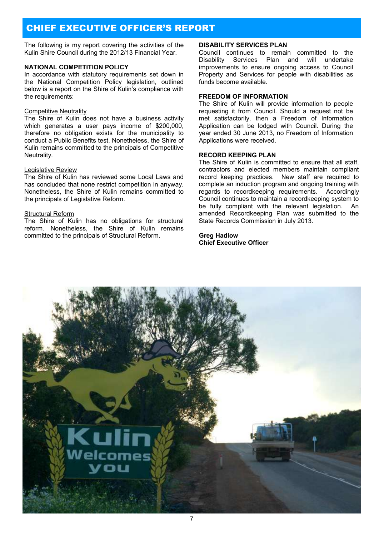# CHIEF EXECUTIVE OFFICER'S REPORT

The following is my report covering the activities of the Kulin Shire Council during the 2012/13 Financial Year.

#### **NATIONAL COMPETITION POLICY**

In accordance with statutory requirements set down in the National Competition Policy legislation, outlined below is a report on the Shire of Kulin's compliance with the requirements:

#### Competitive Neutrality

The Shire of Kulin does not have a business activity which generates a user pays income of \$200,000, therefore no obligation exists for the municipality to conduct a Public Benefits test. Nonetheless, the Shire of Kulin remains committed to the principals of Competitive Neutrality.

#### Legislative Review

The Shire of Kulin has reviewed some Local Laws and has concluded that none restrict competition in anyway. Nonetheless, the Shire of Kulin remains committed to the principals of Legislative Reform.

#### Structural Reform

The Shire of Kulin has no obligations for structural reform. Nonetheless, the Shire of Kulin remains committed to the principals of Structural Reform.

#### **DISABILITY SERVICES PLAN**

Council continues to remain committed to the Disability Services Plan and will undertake improvements to ensure ongoing access to Council Property and Services for people with disabilities as funds become available.

#### **FREEDOM OF INFORMATION**

The Shire of Kulin will provide information to people requesting it from Council. Should a request not be met satisfactorily, then a Freedom of Information Application can be lodged with Council. During the year ended 30 June 2013, no Freedom of Information Applications were received.

#### **RECORD KEEPING PLAN**

The Shire of Kulin is committed to ensure that all staff, contractors and elected members maintain compliant record keeping practices. New staff are required to complete an induction program and ongoing training with regards to recordkeeping requirements. Accordingly Council continues to maintain a recordkeeping system to be fully compliant with the relevant legislation. An amended Recordkeeping Plan was submitted to the State Records Commission in July 2013.

#### **Greg Hadlow Chief Executive Officer**

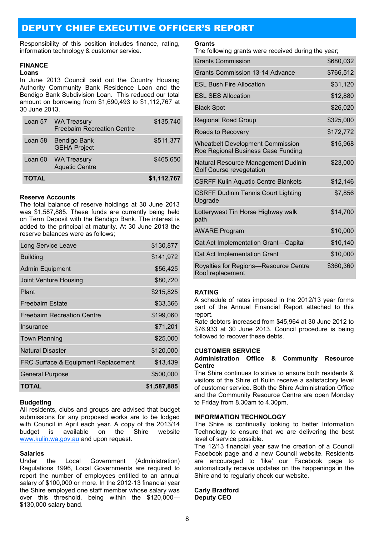# DEPUTY CHIEF EXECUTIVE OFFICER'S REPORT

Responsibility of this position includes finance, rating, information technology & customer service.

#### **FINANCE**

#### **Loans**

In June 2013 Council paid out the Country Housing Authority Community Bank Residence Loan and the Bendigo Bank Subdivision Loan. This reduced our total amount on borrowing from \$1,690,493 to \$1,112,767 at 30 June 2013.

|              | Loan 57 WA Treasury<br><b>Freebairn Recreation Centre</b> | \$135,740   |
|--------------|-----------------------------------------------------------|-------------|
| Loan 58      | Bendigo Bank<br><b>GEHA Project</b>                       | \$511,377   |
|              | Loan 60 WA Treasury<br><b>Aquatic Centre</b>              | \$465,650   |
| <b>TOTAL</b> |                                                           | \$1,112,767 |

#### **Reserve Accounts**

The total balance of reserve holdings at 30 June 2013 was \$1,587,885. These funds are currently being held on Term Deposit with the Bendigo Bank. The interest is added to the principal at maturity. At 30 June 2013 the reserve balances were as follows;

| \$130,877   |
|-------------|
| \$141,972   |
| \$56,425    |
| \$80,720    |
| \$215,825   |
| \$33,366    |
| \$199,060   |
| \$71,201    |
| \$25,000    |
| \$120,000   |
| \$13,439    |
| \$500,000   |
| \$1,587,885 |
|             |

#### **Budgeting**

All residents, clubs and groups are advised that budget submissions for any proposed works are to be lodged with Council in April each year. A copy of the 2013/14 budget is available on the Shire website [www.kulin.wa.gov.au](http://www.kulin.wa.gov.au/) and upon request.

#### **Salaries**

Under the Local Government (Administration) Regulations 1996, Local Governments are required to report the number of employees entitled to an annual salary of \$100,000 or more. In the 2012-13 financial year the Shire employed one staff member whose salary was over this threshold, being within the \$120,000-\$130,000 salary band.

#### **Grants**

The following grants were received during the year;

| <b>Grants Commission</b>                                                      | \$680,032 |
|-------------------------------------------------------------------------------|-----------|
| <b>Grants Commission 13-14 Advance</b>                                        | \$766,512 |
| <b>ESL Bush Fire Allocation</b>                                               | \$31,120  |
| <b>ESL SES Allocation</b>                                                     | \$12,880  |
| <b>Black Spot</b>                                                             | \$26,020  |
| <b>Regional Road Group</b>                                                    | \$325,000 |
| Roads to Recovery                                                             | \$172,772 |
| <b>Wheatbelt Development Commission</b><br>Roe Regional Business Case Funding | \$15,968  |
| Natural Resource Management Dudinin<br>Golf Course revegetation               | \$23,000  |
| <b>CSRFF Kulin Aquatic Centre Blankets</b>                                    | \$12,146  |
| <b>CSRFF Dudinin Tennis Court Lighting</b><br>Upgrade                         | \$7,856   |
| Lotterywest Tin Horse Highway walk<br>path                                    | \$14,700  |
| <b>AWARE Program</b>                                                          | \$10,000  |
| Cat Act Implementation Grant-Capital                                          | \$10,140  |
| Cat Act Implementation Grant                                                  | \$10,000  |
| Royalties for Regions-Resource Centre<br>Roof replacement                     | \$360,360 |

#### **RATING**

A schedule of rates imposed in the 2012/13 year forms part of the Annual Financial Report attached to this report.

Rate debtors increased from \$45,964 at 30 June 2012 to \$76,933 at 30 June 2013. Council procedure is being followed to recover these debts.

#### **CUSTOMER SERVICE**

#### **Administration Office & Community Resource Centre**

The Shire continues to strive to ensure both residents & visitors of the Shire of Kulin receive a satisfactory level of customer service. Both the Shire Administration Office and the Community Resource Centre are open Monday to Friday from 8.30am to 4.30pm.

#### **INFORMATION TECHNOLOGY**

The Shire is continually looking to better Information Technology to ensure that we are delivering the best level of service possible.

The 12/13 financial year saw the creation of a Council Facebook page and a new Council website. Residents are encouraged to 'like' our Facebook page to automatically receive updates on the happenings in the Shire and to regularly check our website.

#### **Carly Bradford Deputy CEO**

8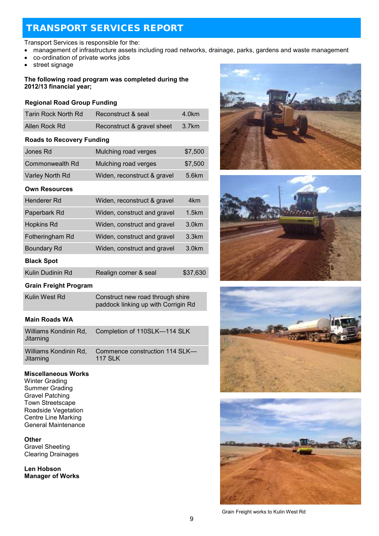# TRANSPORT SERVICES REPORT

#### Transport Services is responsible for the:

- management of infrastructure assets including road networks, drainage, parks, gardens and waste management
- co-ordination of private works jobs
- street signage

#### **The following road program was completed during the 2012/13 financial year;**

#### **Regional Road Group Funding**

| Tarin Rock North Rd | Reconstruct & seal         | 4.0km   |
|---------------------|----------------------------|---------|
| Allen Rock Rd       | Reconstruct & gravel sheet | - 3.7km |

#### **Roads to Recovery Funding**

| Jones Rd        | Mulching road verges        | \$7,500 |
|-----------------|-----------------------------|---------|
| Commonwealth Rd | Mulching road verges        | \$7,500 |
| Varley North Rd | Widen, reconstruct & gravel | 5.6km   |

#### **Own Resources**

| Henderer Rd        | Widen, reconstruct & gravel | 4km               |
|--------------------|-----------------------------|-------------------|
| Paperbark Rd       | Widen, construct and gravel | 1.5km             |
| <b>Hopkins Rd</b>  | Widen, construct and gravel | 3.0 <sub>km</sub> |
| Fotheringham Rd    | Widen, construct and gravel | 3.3km             |
| <b>Boundary Rd</b> | Widen, construct and gravel | 3.0 <sub>km</sub> |
| <b>Black Spot</b>  |                             |                   |
| Kulin Dudinin Rd   | Realign corner & seal       | \$37,630          |

### **Grain Freight Program**

| Kulin West Rd | Construct new road through shire    |
|---------------|-------------------------------------|
|               | paddock linking up with Corrigin Rd |

### **Main Roads WA**

| Williams Kondinin Rd,<br>Jitarning | Completion of 110SLK-114 SLK   |
|------------------------------------|--------------------------------|
| Williams Kondinin Rd.              | Commence construction 114 SLK- |
| Jitarning                          | <b>117 SLK</b>                 |

#### **Miscellaneous Works**

Winter Grading Summer Grading Gravel Patching Town Streetscape Roadside Vegetation Centre Line Marking General Maintenance

#### **Other**

Gravel Sheeting Clearing Drainages

**Len Hobson Manager of Works**









Grain Freight works to Kulin West Rd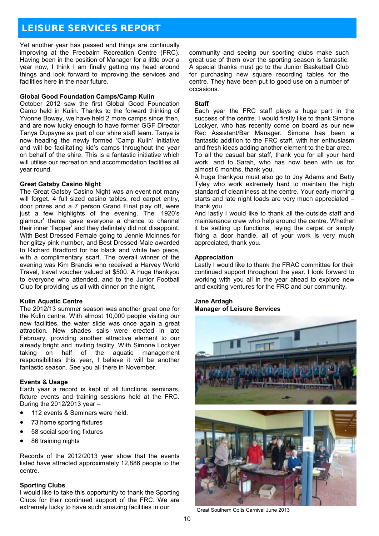# LEISURE SERVICES REPORT

Yet another year has passed and things are continually improving at the Freebairn Recreation Centre (FRC). Having been in the position of Manager for a little over a year now, I think I am finally getting my head around things and look forward to improving the services and facilities here in the near future.

#### **Global Good Foundation Camps/Camp Kulin**

October 2012 saw the first Global Good Foundation Camp held in Kulin. Thanks to the forward thinking of Yvonne Bowey, we have held 2 more camps since then, and are now lucky enough to have former GGF Director Tanya Dupayne as part of our shire staff team. Tanya is now heading the newly formed 'Camp Kulin' initiative and will be facilitating kid's camps throughout the year on behalf of the shire. This is a fantastic initiative which will utilise our recreation and accommodation facilities all year round.

#### **Great Gatsby Casino Night**

The Great Gatsby Casino Night was an event not many will forget. 4 full sized casino tables, red carpet entry, door prizes and a 7 person Grand Final play off, were just a few highlights of the evening. The '1920's glamour' theme gave everyone a chance to channel their inner 'flapper' and they definitely did not disappoint. With Best Dressed Female going to Jennie McInnes for her glitzy pink number, and Best Dressed Male awarded to Richard Bradford for his black and white two piece, with a complimentary scarf. The overall winner of the evening was Kim Brandis who received a Harvey World Travel, travel voucher valued at \$500. A huge thankyou to everyone who attended, and to the Junior Football Club for providing us all with dinner on the night.

#### **Kulin Aquatic Centre**

The 2012/13 summer season was another great one for the Kulin centre. With almost 10,000 people visiting our new facilities, the water slide was once again a great attraction. New shades sails were erected in late February, providing another attractive element to our already bright and inviting facility. With Simone Lockyer taking on half of the aquatic management responsibilities this year, I believe it will be another fantastic season. See you all there in November.

#### **Events & Usage**

Each year a record is kept of all functions, seminars, fixture events and training sessions held at the FRC. During the 2012/2013 year –

- 112 events & Seminars were held.
- 73 home sporting fixtures
- 58 social sporting fixtures
- 86 training nights

Records of the 2012/2013 year show that the events listed have attracted approximately 12,886 people to the centre.

#### **Sporting Clubs**

I would like to take this opportunity to thank the Sporting Clubs for their continued support of the FRC. We are extremely lucky to have such amazing facilities in our

community and seeing our sporting clubs make such great use of them over the sporting season is fantastic. A special thanks must go to the Junior Basketball Club for purchasing new square recording tables for the centre. They have been put to good use on a number of occasions.

#### **Staff**

Each year the FRC staff plays a huge part in the success of the centre. I would firstly like to thank Simone Lockyer, who has recently come on board as our new Rec Assistant/Bar Manager. Simone has been a fantastic addition to the FRC staff, with her enthusiasm and fresh ideas adding another element to the bar area.

To all the casual bar staff, thank you for all your hard work, and to Sarah, who has now been with us for almost 6 months, thank you.

A huge thankyou must also go to Joy Adams and Betty Tyley who work extremely hard to maintain the high standard of cleanliness at the centre. Your early morning starts and late night loads are very much appreciated – thank you.

And lastly I would like to thank all the outside staff and maintenance crew who help around the centre. Whether it be setting up functions, laying the carpet or simply fixing a door handle, all of your work is very much appreciated, thank you.

#### **Appreciation**

Lastly I would like to thank the FRAC committee for their continued support throughout the year. I look forward to working with you all in the year ahead to explore new and exciting ventures for the FRC and our community.

#### **Jane Ardagh Manager of Leisure Services**



Great Southern Colts Carnival June 2013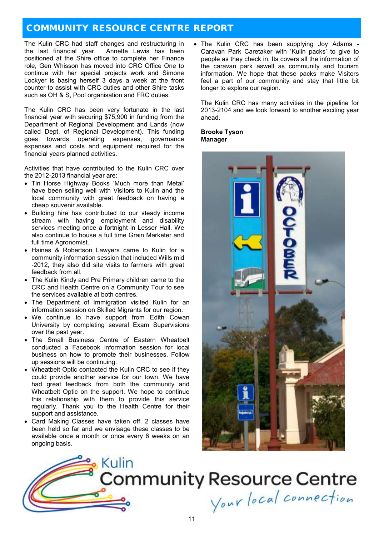# COMMUNITY RESOURCE CENTRE REPORT

The Kulin CRC had staff changes and restructuring in the last financial year. Annette Lewis has been positioned at the Shire office to complete her Finance role, Gen Whisson has moved into CRC Office One to continue with her special projects work and Simone Lockyer is basing herself 3 days a week at the front counter to assist with CRC duties and other Shire tasks such as OH & S. Pool organisation and FRC duties.

The Kulin CRC has been very fortunate in the last financial year with securing \$75,900 in funding from the Department of Regional Development and Lands (now called Dept. of Regional Development). This funding goes towards operating expenses, governance expenses and costs and equipment required for the financial years planned activities.

Activities that have contributed to the Kulin CRC over the 2012-2013 financial year are:

- Tin Horse Highway Books 'Much more than Metal' have been selling well with Visitors to Kulin and the local community with great feedback on having a cheap souvenir available.
- Building hire has contributed to our steady income stream with having employment and disability services meeting once a fortnight in Lesser Hall. We also continue to house a full time Grain Marketer and full time Agronomist.
- Haines & Robertson Lawyers came to Kulin for a community information session that included Wills mid -2012, they also did site visits to farmers with great feedback from all.
- The Kulin Kindy and Pre Primary children came to the CRC and Health Centre on a Community Tour to see the services available at both centres.
- The Department of Immigration visited Kulin for an information session on Skilled Migrants for our region.
- We continue to have support from Edith Cowan University by completing several Exam Supervisions over the past year.
- The Small Business Centre of Eastern Wheatbelt conducted a Facebook information session for local business on how to promote their businesses. Follow up sessions will be continuing.
- Wheatbelt Optic contacted the Kulin CRC to see if they could provide another service for our town. We have had great feedback from both the community and Wheatbelt Optic on the support. We hope to continue this relationship with them to provide this service regularly. Thank you to the Health Centre for their support and assistance.
- Card Making Classes have taken off. 2 classes have been held so far and we envisage these classes to be available once a month or once every 6 weeks on an ongoing basis.

• The Kulin CRC has been supplying Joy Adams -Caravan Park Caretaker with 'Kulin packs' to give to people as they check in. Its covers all the information of the caravan park aswell as community and tourism information. We hope that these packs make Visitors feel a part of our community and stay that little bit longer to explore our region.

The Kulin CRC has many activities in the pipeline for 2013-2104 and we look forward to another exciting year ahead.

**Brooke Tyson Manager**



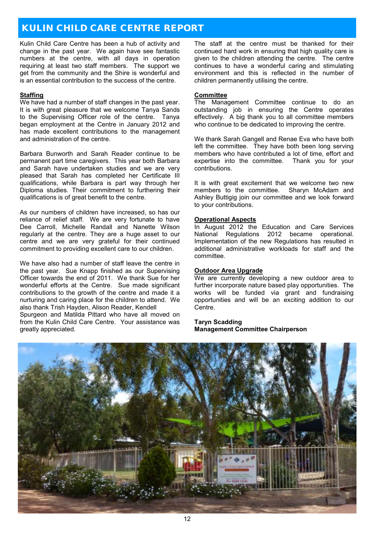# KULIN CHILD CARE CENTRE REPORT

Kulin Child Care Centre has been a hub of activity and change in the past year. We again have see fantastic numbers at the centre, with all days in operation requiring at least two staff members. The support we get from the community and the Shire is wonderful and is an essential contribution to the success of the centre.

#### **Staffing**

We have had a number of staff changes in the past year. It is with great pleasure that we welcome Tanya Sands to the Supervising Officer role of the centre. Tanya began employment at the Centre in January 2012 and has made excellent contributions to the management and administration of the centre.

Barbara Bunworth and Sarah Reader continue to be permanent part time caregivers. This year both Barbara and Sarah have undertaken studies and we are very pleased that Sarah has completed her Certificate III qualifications, while Barbara is part way through her Diploma studies. Their commitment to furthering their qualifications is of great benefit to the centre.

As our numbers of children have increased, so has our reliance of relief staff. We are very fortunate to have Dee Carroll, Michelle Randall and Nanette Wilson regularly at the centre. They are a huge asset to our centre and we are very grateful for their continued commitment to providing excellent care to our children.

We have also had a number of staff leave the centre in the past year. Sue Knapp finished as our Supervising Officer towards the end of 2011. We thank Sue for her wonderful efforts at the Centre. Sue made significant contributions to the growth of the centre and made it a nurturing and caring place for the children to attend. We also thank Trish Hayden, Alison Reader, Kendell Spurgeon and Matilda Pittard who have all moved on from the Kulin Child Care Centre. Your assistance was greatly appreciated.

The staff at the centre must be thanked for their continued hard work in ensuring that high quality care is given to the children attending the centre. The centre continues to have a wonderful caring and stimulating environment and this is reflected in the number of children permanently utilising the centre.

#### **Committee**

The Management Committee continue to do an outstanding job in ensuring the Centre operates effectively. A big thank you to all committee members who continue to be dedicated to improving the centre.

We thank Sarah Gangell and Renae Eva who have both left the committee. They have both been long serving members who have contributed a lot of time, effort and expertise into the committee. Thank you for your contributions.

It is with great excitement that we welcome two new members to the committee. Sharyn McAdam and Ashley Buttigig join our committee and we look forward to your contributions.

#### **Operational Aspects**

In August 2012 the Education and Care Services National Regulations 2012 became operational. Implementation of the new Regulations has resulted in additional administrative workloads for staff and the committee.

#### **Outdoor Area Upgrade**

We are currently developing a new outdoor area to further incorporate nature based play opportunities. The works will be funded via grant and fundraising opportunities and will be an exciting addition to our Centre.

#### **Taryn Scadding Management Committee Chairperson**

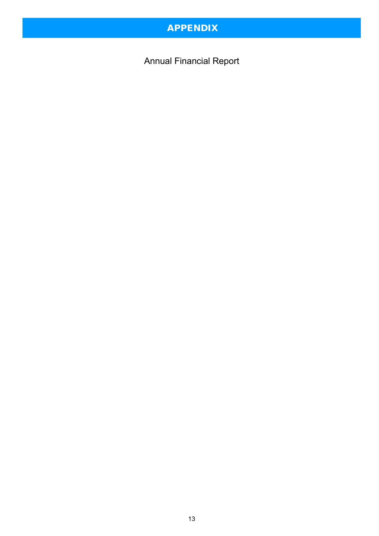# APPENDIX

Annual Financial Report